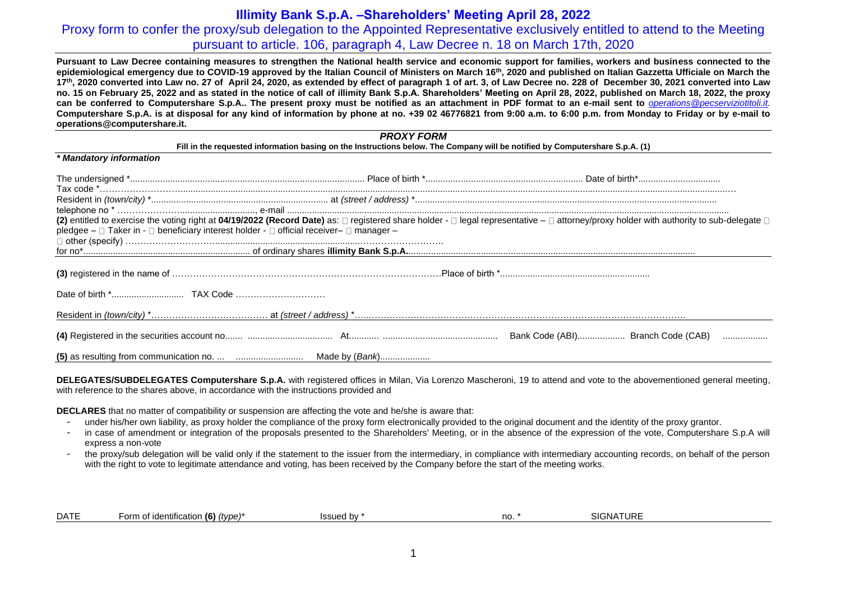## Proxy form to confer the proxy/sub delegation to the Appointed Representative exclusively entitled to attend to the Meeting pursuant to article. 106, paragraph 4, Law Decree n. 18 on March 17th, 2020

**Pursuant to Law Decree containing measures to strengthen the National health service and economic support for families, workers and business connected to the epidemiological emergency due to COVID-19 approved by the Italian Council of Ministers on March 16th, 2020 and published on Italian Gazzetta Ufficiale on March the 17th, 2020 converted into Law no. 27 of April 24, 2020, as extended by effect of paragraph 1 of art. 3, of Law Decree no. 228 of December 30, 2021 converted into Law no. 15 on February 25, 2022 and as stated in the notice of call of illimity Bank S.p.A. Shareholders' Meeting on April 28, 2022, published on March 18, 2022, the proxy can be conferred to Computershare S.p.A.. The present proxy must be notified as an attachment in PDF format to an e-mail sent to** *[operations@pecserviziotitoli.it.](mailto:operations@pecserviziotitoli.it)* **Computershare S.p.A. is at disposal for any kind of information by phone at no. +39 02 46776821 from 9:00 a.m. to 6:00 p.m. from Monday to Friday or by e-mail to operations@computershare.it.**

#### *PROXY FORM*

#### **Fill in the requested information basing on the Instructions below. The Company will be notified by Computershare S.p.A. (1)**

| pledgee - □ Taker in - □ beneficiary interest holder - □ official receiver- □ manager - | (2) entitled to exercise the voting right at 04/19/2022 (Record Date) as: □ registered share holder - □ legal representative - □ attorney/proxy holder with authority to sub-delegate □ |
|-----------------------------------------------------------------------------------------|-----------------------------------------------------------------------------------------------------------------------------------------------------------------------------------------|
|                                                                                         |                                                                                                                                                                                         |
|                                                                                         |                                                                                                                                                                                         |
|                                                                                         |                                                                                                                                                                                         |
|                                                                                         |                                                                                                                                                                                         |
|                                                                                         |                                                                                                                                                                                         |
|                                                                                         |                                                                                                                                                                                         |

**DELEGATES/SUBDELEGATES Computershare S.p.A.** with registered offices in Milan, Via Lorenzo Mascheroni, 19 to attend and vote to the abovementioned general meeting, with reference to the shares above, in accordance with the instructions provided and

**DECLARES** that no matter of compatibility or suspension are affecting the vote and he/she is aware that:

*\* Mandatory information*

- under his/her own liability, as proxy holder the compliance of the proxy form electronically provided to the original document and the identity of the proxy grantor.
- in case of amendment or integration of the proposals presented to the Shareholders' Meeting, or in the absence of the expression of the vote, Computershare S.p.A will express a non-vote
- the proxy/sub delegation will be valid only if the statement to the issuer from the intermediary, in compliance with intermediary accounting records, on behalf of the person with the right to vote to legitimate attendance and voting, has been received by the Company before the start of the meeting works.

| no<br>(b)<br>ssuec<br>.<br>- | <b>DATE</b> | $\cdots$<br>$\sqrt{2}$<br>∙orm<br>(type)<br><b>identification</b> |  |  | <b>TURE</b><br>SIGN/<br>$\mathbf{v}$ |  |
|------------------------------|-------------|-------------------------------------------------------------------|--|--|--------------------------------------|--|
|------------------------------|-------------|-------------------------------------------------------------------|--|--|--------------------------------------|--|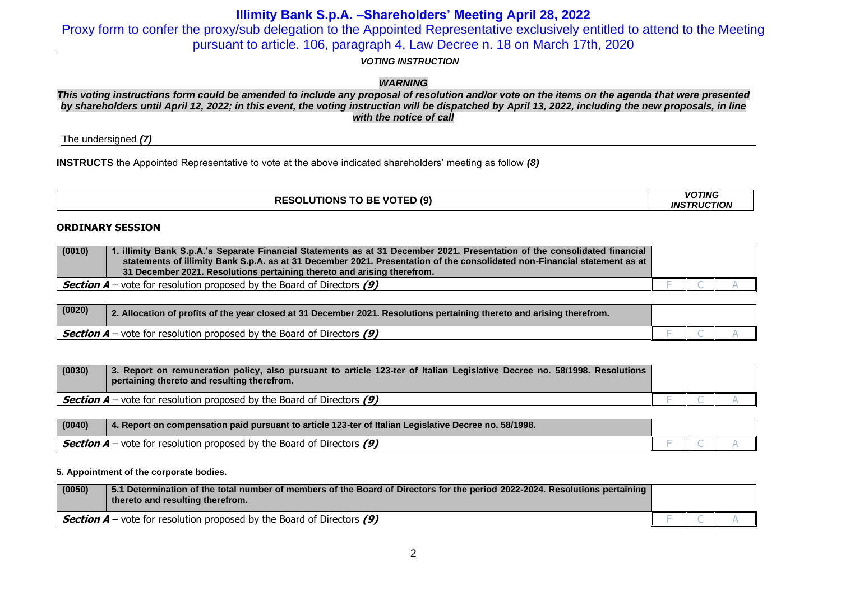Proxy form to confer the proxy/sub delegation to the Appointed Representative exclusively entitled to attend to the Meeting pursuant to article. 106, paragraph 4, Law Decree n. 18 on March 17th, 2020

### *VOTING INSTRUCTION*

### *WARNING*

*This voting instructions form could be amended to include any proposal of resolution and/or vote on the items on the agenda that were presented by shareholders until April 12, 2022; in this event, the voting instruction will be dispatched by April 13, 2022, including the new proposals, in line with the notice of call*

The undersigned *(7)*

**INSTRUCTS** the Appointed Representative to vote at the above indicated shareholders' meeting as follow *(8)*

| <b>RESOLUTIONS TO BE VOTED (9)</b> | <b>VOTING</b>      |
|------------------------------------|--------------------|
|                                    | <b>INSTRUCTION</b> |

### **ORDINARY SESSION**

| (0010) | . illimity Bank S.p.A.'s Separate Financial Statements as at 31 December 2021. Presentation of the consolidated financial<br>statements of illimity Bank S.p.A. as at 31 December 2021. Presentation of the consolidated non-Financial statement as at<br>31 December 2021. Resolutions pertaining thereto and arising therefrom. |  |  |
|--------|-----------------------------------------------------------------------------------------------------------------------------------------------------------------------------------------------------------------------------------------------------------------------------------------------------------------------------------|--|--|
|        | <b>Section A</b> – vote for resolution proposed by the Board of Directors (9)                                                                                                                                                                                                                                                     |  |  |

| (0020) | 2. Allocation of profits of the year closed at 31 December 2021. Resolutions pertaining thereto and arising therefrom. |                          |  |
|--------|------------------------------------------------------------------------------------------------------------------------|--------------------------|--|
|        | Section $A$ – vote for resolution proposed by the Board of Directors (9)                                               | $\overline{\phantom{a}}$ |  |

| (0030) | 3. Report on remuneration policy, also pursuant to article 123-ter of Italian Legislative Decree no. 58/1998. Resolutions<br>pertaining thereto and resulting therefrom. |  |  |
|--------|--------------------------------------------------------------------------------------------------------------------------------------------------------------------------|--|--|
|        | $\frac{1}{2}$ <b>Section A</b> – vote for resolution proposed by the Board of Directors (9)                                                                              |  |  |

| (0040) | 4. Report on compensation paid pursuant to article 123-ter of Italian Legislative Decree no. 58/1998. |  |  |
|--------|-------------------------------------------------------------------------------------------------------|--|--|
|        | $\vert$ <b>Section A</b> – vote for resolution proposed by the Board of Directors (9)                 |  |  |

### **5. Appointment of the corporate bodies.**

| (0050) | 5.1 Determination of the total number of members of the Board of Directors for the period 2022-2024. Resolutions pertaining<br>thereto and resulting therefrom. |  |  |
|--------|-----------------------------------------------------------------------------------------------------------------------------------------------------------------|--|--|
|        | <b>Section A</b> – vote for resolution proposed by the Board of Directors (9)                                                                                   |  |  |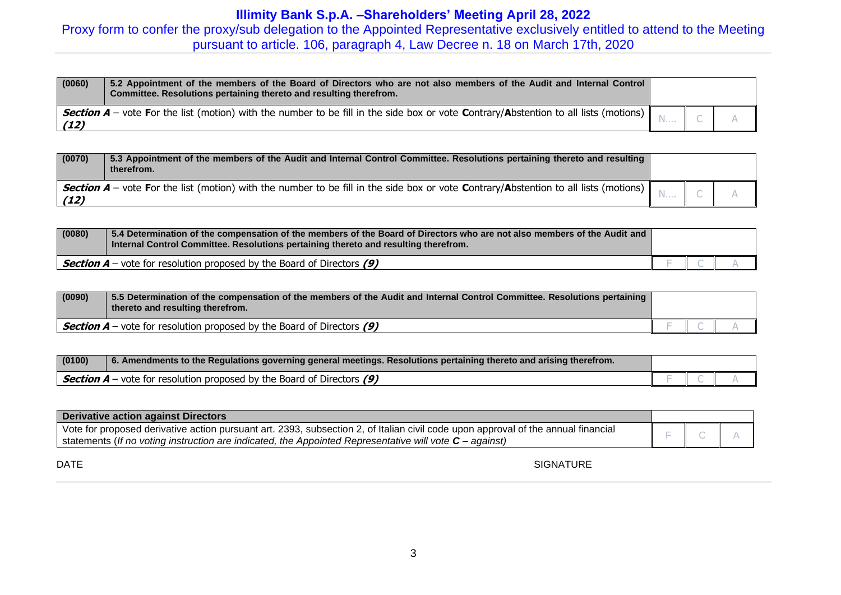Proxy form to confer the proxy/sub delegation to the Appointed Representative exclusively entitled to attend to the Meeting pursuant to article. 106, paragraph 4, Law Decree n. 18 on March 17th, 2020

| (0060) | 5.2 Appointment of the members of the Board of Directors who are not also members of the Audit and Internal Control<br>Committee. Resolutions pertaining thereto and resulting therefrom. |  |  |
|--------|-------------------------------------------------------------------------------------------------------------------------------------------------------------------------------------------|--|--|
| (12)   | Section A - vote For the list (motion) with the number to be fill in the side box or vote Contrary/Abstention to all lists (motions)                                                      |  |  |

| (0070) | 5.3 Appointment of the members of the Audit and Internal Control Committee. Resolutions pertaining thereto and resulting<br>therefrom. |  |  |
|--------|----------------------------------------------------------------------------------------------------------------------------------------|--|--|
| (12)   | Section A – vote For the list (motion) with the number to be fill in the side box or vote Contrary/Abstention to all lists (motions)   |  |  |

| (0080) | 5.4 Determination of the compensation of the members of the Board of Directors who are not also members of the Audit and<br>Internal Control Committee. Resolutions pertaining thereto and resulting therefrom. |  |  |
|--------|-----------------------------------------------------------------------------------------------------------------------------------------------------------------------------------------------------------------|--|--|
|        | $\frac{1}{2}$ <b>Section A</b> – vote for resolution proposed by the Board of Directors (9)                                                                                                                     |  |  |

| (0090) | 5.5 Determination of the compensation of the members of the Audit and Internal Control Committee. Resolutions pertaining<br>thereto and resulting therefrom. |  |  |
|--------|--------------------------------------------------------------------------------------------------------------------------------------------------------------|--|--|
|        | <b>Section A</b> – vote for resolution proposed by the Board of Directors $(9)$                                                                              |  |  |

| (0100)                                                                   | 6. Amendments to the Regulations governing general meetings. Resolutions pertaining thereto and arising therefrom. |  |  |
|--------------------------------------------------------------------------|--------------------------------------------------------------------------------------------------------------------|--|--|
| Section $A$ – vote for resolution proposed by the Board of Directors (9) |                                                                                                                    |  |  |

| Derivative action against Directors                                                                                                                                                                                                            |  |  |  |  |  |
|------------------------------------------------------------------------------------------------------------------------------------------------------------------------------------------------------------------------------------------------|--|--|--|--|--|
| Vote for proposed derivative action pursuant art. 2393, subsection 2, of Italian civil code upon approval of the annual financial<br>statements (If no voting instruction are indicated, the Appointed Representative will vote $C$ – against) |  |  |  |  |  |

DATE SIGNATURE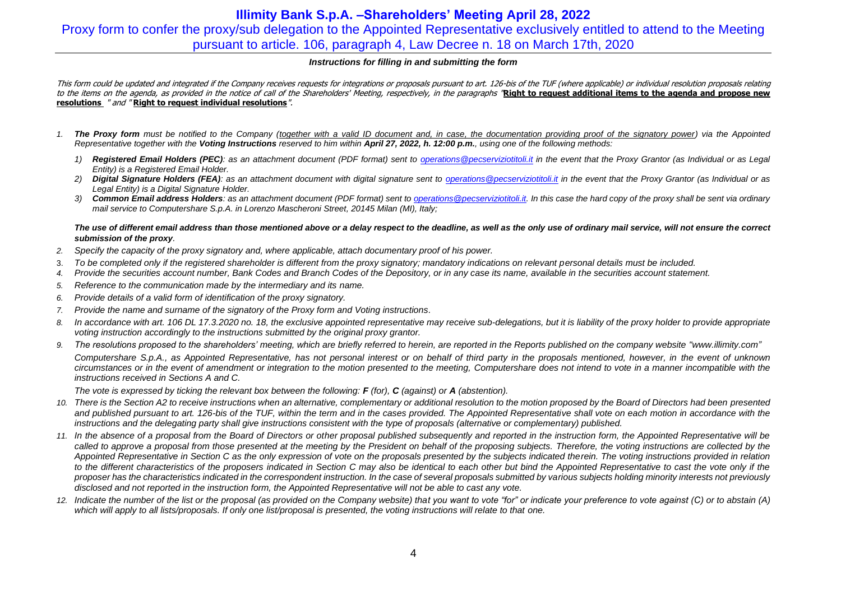## **Illimity Bank S.p.A. –Shareholders' Meeting April 28, 2022** Proxy form to confer the proxy/sub delegation to the Appointed Representative exclusively entitled to attend to the Meeting pursuant to article. 106, paragraph 4, Law Decree n. 18 on March 17th, 2020

### *Instructions for filling in and submitting the form*

This form could be updated and integrated if the Company receives requests for integrations or proposals pursuant to art. 126-bis of the TUF (where applicable) or individual resolution proposals relating to the items on the agenda, as provided in the notice of call of the Shareholders' Meeting, respectively, in the paragraphs "**Right to request additional items to the agenda and propose new resolutions** " and " **Right to request individual resolutions**".

- *1. The Proxy form must be notified to the Company (together with a valid ID document and, in case, the documentation providing proof of the signatory power) via the Appointed Representative together with the Voting Instructions reserved to him within April 27, 2022, h. 12:00 p.m., using one of the following methods:*
	- *1) Registered Email Holders (PEC): as an attachment document (PDF format) sent to [operations@pecserviziotitoli.it](mailto:operations@pecserviziotitoli.it) in the event that the Proxy Grantor (as Individual or as Legal Entity) is a Registered Email Holder.*
	- *2) Digital Signature Holders (FEA): as an attachment document with digital signature sent to [operations@pecserviziotitoli.it](mailto:operations@pecserviziotitoli.it) in the event that the Proxy Grantor (as Individual or as Legal Entity) is a Digital Signature Holder.*
	- *3) Common Email address Holders: as an attachment document (PDF format) sent to [operations@pecserviziotitoli.it.](mailto:operations@pecserviziotitoli.it) In this case the hard copy of the proxy shall be sent via ordinary mail service to Computershare S.p.A. in Lorenzo Mascheroni Street, 20145 Milan (MI), Italy;*

### *The use of different email address than those mentioned above or a delay respect to the deadline, as well as the only use of ordinary mail service, will not ensure the correct submission of the proxy.*

- *2. Specify the capacity of the proxy signatory and, where applicable, attach documentary proof of his power.*
- 3. *To be completed only if the registered shareholder is different from the proxy signatory; mandatory indications on relevant personal details must be included.*
- *4. Provide the securities account number, Bank Codes and Branch Codes of the Depository, or in any case its name, available in the securities account statement.*
- *5. Reference to the communication made by the intermediary and its name.*
- *6. Provide details of a valid form of identification of the proxy signatory.*
- *7. Provide the name and surname of the signatory of the Proxy form and Voting instructions.*
- 8. In accordance with art. 106 DL 17.3.2020 no. 18, the exclusive appointed representative may receive sub-delegations, but it is liability of the proxy holder to provide appropriate *voting instruction accordingly to the instructions submitted by the original proxy grantor.*
- 9. The resolutions proposed to the shareholders' meeting, which are briefly referred to herein, are reported in the Reports published on the company website ["www.illimity.com"](http://www.illimity.com/) *Computershare S.p.A., as Appointed Representative, has not personal interest or on behalf of third party in the proposals mentioned, however, in the event of unknown circumstances or in the event of amendment or integration to the motion presented to the meeting, Computershare does not intend to vote in a manner incompatible with the instructions received in Sections A and C.*

*The vote is expressed by ticking the relevant box between the following: F (for), C (against) or A (abstention).*

- *10. There is the Section A2 to receive instructions when an alternative, complementary or additional resolution to the motion proposed by the Board of Directors had been presented*  and published pursuant to art. 126-bis of the TUF, within the term and in the cases provided. The Appointed Representative shall vote on each motion in accordance with the *instructions and the delegating party shall give instructions consistent with the type of proposals (alternative or complementary) published.*
- *11. In the absence of a proposal from the Board of Directors or other proposal published subsequently and reported in the instruction form, the Appointed Representative will be called to approve a proposal from those presented at the meeting by the President on behalf of the proposing subjects. Therefore, the voting instructions are collected by the Appointed Representative in Section C as the only expression of vote on the proposals presented by the subjects indicated therein. The voting instructions provided in relation to the different characteristics of the proposers indicated in Section C may also be identical to each other but bind the Appointed Representative to cast the vote only if the proposer has the characteristics indicated in the correspondent instruction. In the case of several proposals submitted by various subjects holding minority interests not previously disclosed and not reported in the instruction form, the Appointed Representative will not be able to cast any vote.*
- *12. Indicate the number of the list or the proposal (as provided on the Company website) that you want to vote "for" or indicate your preference to vote against (C) or to abstain (A) which will apply to all lists/proposals. If only one list/proposal is presented, the voting instructions will relate to that one.*